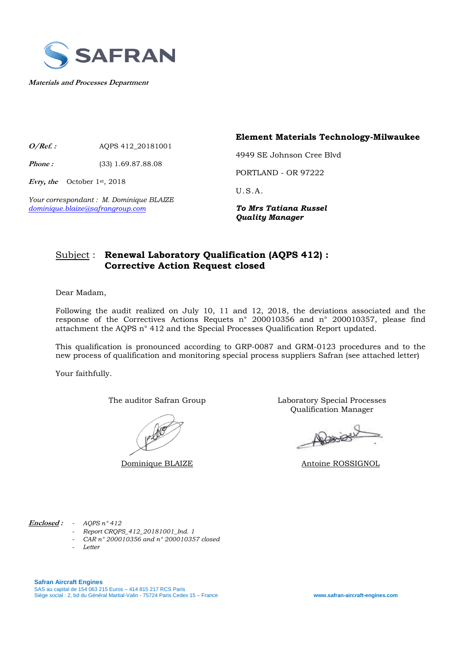

**Materials and Processes Department**

**O/Ref. :** AQPS 412\_20181001

**Phone :** (33) 1.69.87.88.08

**Evry, the** October 1st, 2018

*Your correspondant : M. Dominique BLAIZE dominique.blaize@safrangroup.com To Mrs Tatiana Russel* 

**Element Materials Technology-Milwaukee** 

4949 SE Johnson Cree Blvd

PORTLAND - OR 97222

U.S.A.

*Quality Manager* 

#### Subject : **Renewal Laboratory Qualification (AQPS 412) : Corrective Action Request closed**

Dear Madam,

Following the audit realized on July 10, 11 and 12, 2018, the deviations associated and the response of the Correctives Actions Requets n° 200010356 and n° 200010357, please find attachment the AQPS n° 412 and the Special Processes Qualification Report updated.

This qualification is pronounced according to GRP-0087 and GRM-0123 procedures and to the new process of qualification and monitoring special process suppliers Safran (see attached letter)

Your faithfully.

The auditor Safran Group Laboratory Special Processes Qualification Manager

Rosier

Dominique BLAIZE Antoine ROSSIGNOL

**Enclosed :** *- AQPS n° 412* 

- *Report CRQPS\_412\_20181001\_Ind. 1*
- *CAR n° 200010356 and n° 200010357 closed*
- *Letter*

**Safran Aircraft Engines**  SAS au capital de 154 063 215 Euros – 414 815 217 RCS Paris Siège social : 2, bd du Général Martial-Valin - 75724 Paris Cedex 15 – France **www.safran-aircraft-engines.com**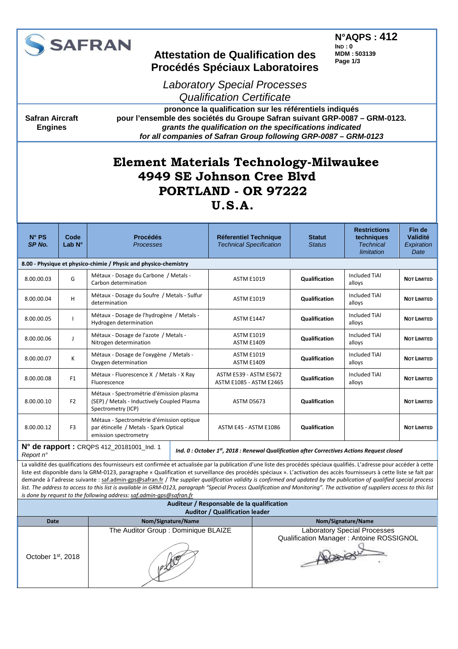

**Safran Aircraft Engines** 

### **Attestation de Qualification des Procédés Spéciaux Laboratoires**

**N°AQPS : 412 IND : 0 MDM : 503139 Page 1/3**

Laboratory Special Processes Qualification Certificate

**prononce la qualification sur les référentiels indiqués pour l'ensemble des sociétés du Groupe Safran suivant GRP-0087 – GRM-0123. grants the qualification on the specifications indicated for all companies of Safran Group following GRP-0087 – GRM-0123** 

# **Element Materials Technology-Milwaukee 4949 SE Johnson Cree Blvd PORTLAND - OR 97222**

#### **U.S.A.**

| $N^{\circ}$ PS<br>SP <sub>No.</sub>                    | Code<br>Lab $N^{\circ}$                                          | <b>Procédés</b><br><b>Processes</b>                                                                           | <b>Réferentiel Technique</b><br><b>Technical Specification</b>                            | <b>Statut</b><br><b>Status</b> | <b>Restrictions</b><br>techniques<br><b>Technical</b><br>limitation | Fin de<br>Validité<br>Expiration<br>Date |  |  |  |
|--------------------------------------------------------|------------------------------------------------------------------|---------------------------------------------------------------------------------------------------------------|-------------------------------------------------------------------------------------------|--------------------------------|---------------------------------------------------------------------|------------------------------------------|--|--|--|
|                                                        | 8.00 - Physique et physico-chimie / Physic and physico-chemistry |                                                                                                               |                                                                                           |                                |                                                                     |                                          |  |  |  |
| 8.00.00.03                                             | G                                                                | Métaux - Dosage du Carbone / Metals -<br>Carbon determination                                                 | <b>ASTM E1019</b>                                                                         | <b>Qualification</b>           | <b>Included TiAl</b><br>alloys                                      | <b>NOT LIMITED</b>                       |  |  |  |
| 8.00.00.04                                             | H                                                                | Métaux - Dosage du Soufre / Metals - Sulfur<br>determination                                                  | <b>ASTM E1019</b>                                                                         | Qualification                  | Included TiAl<br>alloys                                             | <b>NOT LIMITED</b>                       |  |  |  |
| 8.00.00.05                                             |                                                                  | Métaux - Dosage de l'hydrogène / Metals -<br>Hydrogen determination                                           | <b>ASTM E1447</b>                                                                         | <b>Qualification</b>           | Included TiAl<br>alloys                                             | <b>NOT LIMITED</b>                       |  |  |  |
| 8.00.00.06                                             | T                                                                | Métaux - Dosage de l'azote / Metals -<br>Nitrogen determination                                               | <b>ASTM E1019</b><br><b>ASTM E1409</b>                                                    | <b>Qualification</b>           |                                                                     | <b>NOT LIMITED</b>                       |  |  |  |
| 8.00.00.07                                             | K                                                                | Métaux - Dosage de l'oxygène / Metals -<br>Oxygen determination                                               | <b>ASTM E1019</b><br><b>ASTM E1409</b>                                                    | Qualification                  | Included TiAl<br>alloys                                             | <b>NOT LIMITED</b>                       |  |  |  |
| 8.00.00.08                                             | F1                                                               | Métaux - Fluorescence X / Metals - X Ray<br>Fluorescence                                                      | <b>ASTM E539 - ASTM E5672</b><br><b>ASTM E1085 - ASTM E2465</b>                           | Qualification                  | Included TiAl<br>alloys                                             | <b>NOT LIMITED</b>                       |  |  |  |
| 8.00.00.10                                             | F <sub>2</sub>                                                   | Métaux - Spectrométrie d'émission plasma<br>(SEP) / Metals - Inductively Coupled Plasma<br>Spectrometry (ICP) | <b>ASTM D5673</b>                                                                         | <b>Qualification</b>           |                                                                     | <b>NOT LIMITED</b>                       |  |  |  |
| 8.00.00.12                                             | F <sub>3</sub>                                                   | Métaux - Spectrométrie d'émission optique<br>par étincelle / Metals - Spark Optical<br>emission spectrometry  | ASTM E45 - ASTM E1086                                                                     | Qualification                  |                                                                     | <b>NOT LIMITED</b>                       |  |  |  |
| N° de rapport : CRQPS 412_20181001_Ind. 1<br>Report n° |                                                                  |                                                                                                               | Ind. 0: October 1st, 2018: Renewal Qualification after Correctives Actions Request closed |                                |                                                                     |                                          |  |  |  |

La validité des qualifications des fournisseurs est confirmée et actualisée par la publication d'une liste des procédés spéciaux qualifiés. L'adresse pour accéder à cette liste est disponible dans la GRM-0123, paragraphe « Qualification et surveillance des procédés spéciaux ». L'activation des accès fournisseurs à cette liste se fait par demande à l'adresse suivante : saf.admin-gps@safran.fr / *The supplier qualification validity is confirmed and updated by the publication of qualified special process* 

|                                |                                                                      | acmande a radicsse suivante : sanadmin-gps@sanan.ir / The supplier qualification validity is committed and apudica by the publication of qualified special process           |  |  |
|--------------------------------|----------------------------------------------------------------------|------------------------------------------------------------------------------------------------------------------------------------------------------------------------------|--|--|
|                                |                                                                      | list. The address to access to this list is available in GRM-0123, paragraph "Special Process Qualification and Monitoring". The activation of suppliers access to this list |  |  |
|                                | is done by request to the following address: saf.admin-gps@safran.fr |                                                                                                                                                                              |  |  |
|                                | Auditeur / Responsable de la qualification                           |                                                                                                                                                                              |  |  |
|                                | <b>Auditor / Qualification leader</b>                                |                                                                                                                                                                              |  |  |
| <b>Date</b>                    | Nom/Signature/Name                                                   | Nom/Signature/Name                                                                                                                                                           |  |  |
| October 1 <sup>st</sup> , 2018 | The Auditor Group : Dominique BLAIZE                                 | <b>Laboratory Special Processes</b><br>Qualification Manager: Antoine ROSSIGNOL                                                                                              |  |  |
|                                |                                                                      |                                                                                                                                                                              |  |  |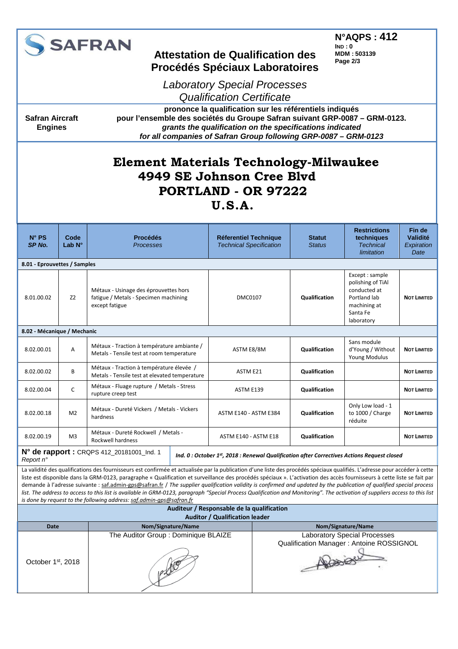|                                                                                                                                                                                                                                                                                                                                                                                                                                                                                                                                                                                                                                                                                                                                                                                                                                       |                         | <b>SAFRAN</b>                                                                                    | <b>N°AQPS: 412</b><br>IND:0<br><b>Attestation de Qualification des</b><br><b>MDM: 503139</b><br>Page 2/3<br><b>Procédés Spéciaux Laboratoires</b><br><b>Laboratory Special Processes</b><br><b>Qualification Certificate</b><br>prononce la qualification sur les référentiels indiqués |                                                                |                                                                                         |                                                                                                               |                                                 |  |
|---------------------------------------------------------------------------------------------------------------------------------------------------------------------------------------------------------------------------------------------------------------------------------------------------------------------------------------------------------------------------------------------------------------------------------------------------------------------------------------------------------------------------------------------------------------------------------------------------------------------------------------------------------------------------------------------------------------------------------------------------------------------------------------------------------------------------------------|-------------------------|--------------------------------------------------------------------------------------------------|-----------------------------------------------------------------------------------------------------------------------------------------------------------------------------------------------------------------------------------------------------------------------------------------|----------------------------------------------------------------|-----------------------------------------------------------------------------------------|---------------------------------------------------------------------------------------------------------------|-------------------------------------------------|--|
| <b>Safran Aircraft</b><br><b>Engines</b>                                                                                                                                                                                                                                                                                                                                                                                                                                                                                                                                                                                                                                                                                                                                                                                              |                         |                                                                                                  | pour l'ensemble des sociétés du Groupe Safran suivant GRP-0087 - GRM-0123.<br>grants the qualification on the specifications indicated<br>for all companies of Safran Group following GRP-0087 - GRM-0123                                                                               |                                                                |                                                                                         |                                                                                                               |                                                 |  |
| <b>Element Materials Technology-Milwaukee</b><br>4949 SE Johnson Cree Blyd<br>PORTLAND - OR 97222<br>U.S.A.                                                                                                                                                                                                                                                                                                                                                                                                                                                                                                                                                                                                                                                                                                                           |                         |                                                                                                  |                                                                                                                                                                                                                                                                                         |                                                                |                                                                                         |                                                                                                               |                                                 |  |
| $N^{\circ}$ PS<br>SP No.                                                                                                                                                                                                                                                                                                                                                                                                                                                                                                                                                                                                                                                                                                                                                                                                              | Code<br>Lab $N^{\circ}$ | <b>Procédés</b><br>Processes                                                                     |                                                                                                                                                                                                                                                                                         | <b>Réferentiel Technique</b><br><b>Technical Specification</b> |                                                                                         | <b>Restrictions</b><br>techniques<br><b>Technical</b><br>limitation                                           | Fin de<br><b>Validité</b><br>Expiration<br>Date |  |
| 8.01 - Eprouvettes / Samples                                                                                                                                                                                                                                                                                                                                                                                                                                                                                                                                                                                                                                                                                                                                                                                                          |                         |                                                                                                  |                                                                                                                                                                                                                                                                                         |                                                                |                                                                                         |                                                                                                               |                                                 |  |
| 8.01.00.02                                                                                                                                                                                                                                                                                                                                                                                                                                                                                                                                                                                                                                                                                                                                                                                                                            | Z <sub>2</sub>          | Métaux - Usinage des éprouvettes hors<br>fatigue / Metals - Specimen machining<br>except fatigue | DMC0107                                                                                                                                                                                                                                                                                 |                                                                | Qualification                                                                           | Except: sample<br>polishing of TiAl<br>conducted at<br>Portland lab<br>machining at<br>Santa Fe<br>laboratory | <b>NOT LIMITED</b>                              |  |
| 8.02 - Mécanique / Mechanic                                                                                                                                                                                                                                                                                                                                                                                                                                                                                                                                                                                                                                                                                                                                                                                                           |                         |                                                                                                  |                                                                                                                                                                                                                                                                                         |                                                                |                                                                                         |                                                                                                               |                                                 |  |
| 8.02.00.01                                                                                                                                                                                                                                                                                                                                                                                                                                                                                                                                                                                                                                                                                                                                                                                                                            | Α                       | Métaux - Traction à température ambiante /<br>Metals - Tensile test at room temperature          | ASTM E8/8M                                                                                                                                                                                                                                                                              |                                                                | Qualification                                                                           | Sans module<br>d'Young / Without<br>Young Modulus                                                             | <b>NOT LIMITED</b>                              |  |
| 8.02.00.02                                                                                                                                                                                                                                                                                                                                                                                                                                                                                                                                                                                                                                                                                                                                                                                                                            | B                       | Métaux - Traction à température élevée /<br>Metals - Tensile test at elevated temperature        | ASTM E21                                                                                                                                                                                                                                                                                |                                                                | Qualification                                                                           |                                                                                                               | <b>NOT LIMITED</b>                              |  |
| 8.02.00.04                                                                                                                                                                                                                                                                                                                                                                                                                                                                                                                                                                                                                                                                                                                                                                                                                            | C                       | Métaux - Fluage rupture / Metals - Stress<br>rupture creep test                                  | ASTM E139                                                                                                                                                                                                                                                                               |                                                                | Qualification                                                                           |                                                                                                               | <b>NOT LIMITED</b>                              |  |
| 8.02.00.18                                                                                                                                                                                                                                                                                                                                                                                                                                                                                                                                                                                                                                                                                                                                                                                                                            | M <sub>2</sub>          | Métaux - Dureté Vickers / Metals - Vickers<br>hardness                                           | <b>ASTM E140 - ASTM E384</b>                                                                                                                                                                                                                                                            |                                                                | Qualification                                                                           | Only Low load - 1<br>to 1000 / Charge<br>réduite                                                              | <b>NOT LIMITED</b>                              |  |
| 8.02.00.19                                                                                                                                                                                                                                                                                                                                                                                                                                                                                                                                                                                                                                                                                                                                                                                                                            | M <sub>3</sub>          | Métaux - Dureté Rockwell / Metals -<br>Rockwell hardness                                         | ASTM E140 - ASTM E18                                                                                                                                                                                                                                                                    |                                                                | Qualification                                                                           |                                                                                                               | <b>NOT LIMITED</b>                              |  |
| Report n°                                                                                                                                                                                                                                                                                                                                                                                                                                                                                                                                                                                                                                                                                                                                                                                                                             |                         | N° de rapport : CRQPS 412_20181001_Ind. 1                                                        |                                                                                                                                                                                                                                                                                         |                                                                |                                                                                         | Ind. 0 : October 1st, 2018 : Renewal Qualification after Correctives Actions Request closed                   |                                                 |  |
| La validité des qualifications des fournisseurs est confirmée et actualisée par la publication d'une liste des procédés spéciaux qualifiés. L'adresse pour accéder à cette<br>liste est disponible dans la GRM-0123, paragraphe « Qualification et surveillance des procédés spéciaux ». L'activation des accès fournisseurs à cette liste se fait par<br>demande à l'adresse suivante : saf.admin-gps@safran.fr / The supplier qualification validity is confirmed and updated by the publication of qualified special process<br>list. The address to access to this list is available in GRM-0123, paragraph "Special Process Qualification and Monitoring". The activation of suppliers access to this list<br>is done by request to the following address: saf.admin-qps@safran.fr<br>Auditeur / Responsable de la qualification |                         |                                                                                                  |                                                                                                                                                                                                                                                                                         |                                                                |                                                                                         |                                                                                                               |                                                 |  |
| <b>Auditor / Qualification leader</b><br>Nom/Signature/Name                                                                                                                                                                                                                                                                                                                                                                                                                                                                                                                                                                                                                                                                                                                                                                           |                         |                                                                                                  |                                                                                                                                                                                                                                                                                         |                                                                |                                                                                         |                                                                                                               |                                                 |  |
| <b>Date</b><br>October 1st, 2018                                                                                                                                                                                                                                                                                                                                                                                                                                                                                                                                                                                                                                                                                                                                                                                                      |                         | Nom/Signature/Name                                                                               | The Auditor Group : Dominique BLAIZE                                                                                                                                                                                                                                                    |                                                                | <b>Laboratory Special Processes</b><br>Qualification Manager: Antoine ROSSIGNOL<br>Also |                                                                                                               |                                                 |  |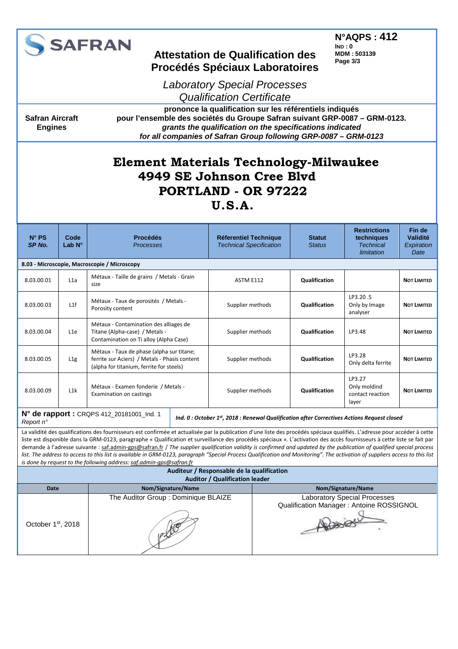

**Safran Aircraft Engines** 

## **Attestation de Qualification des Procédés Spéciaux Laboratoires**

**N°AQPS : 412 IND : 0 MDM : 503139 Page 3/3**

Laboratory Special Processes Qualification Certificate

**prononce la qualification sur les référentiels indiqués pour l'ensemble des sociétés du Groupe Safran suivant GRP-0087 – GRM-0123. grants the qualification on the specifications indicated for all companies of Safran Group following GRP-0087 – GRM-0123** 

# **Element Materials Technology-Milwaukee 4949 SE Johnson Cree Blvd PORTLAND - OR 97222**

#### **U.S.A.**

| $N^{\circ}$ PS<br>SP <sub>No.</sub>                                                                                                                   | Code<br>Lab $N^{\circ}$ | <b>Procédés</b><br><b>Processes</b>                                                                                                                                                                                                                                                                                                                                                                                                                                                                                                                                                                                                                                                                                                                                                     | <b>Réferentiel Technique</b><br><b>Technical Specification</b> |                                                                                             | <b>Statut</b><br><b>Status</b> | <b>Restrictions</b><br>techniques<br><b>Technical</b><br>limitation | Fin de<br>Validité<br>Expiration<br>Date |  |
|-------------------------------------------------------------------------------------------------------------------------------------------------------|-------------------------|-----------------------------------------------------------------------------------------------------------------------------------------------------------------------------------------------------------------------------------------------------------------------------------------------------------------------------------------------------------------------------------------------------------------------------------------------------------------------------------------------------------------------------------------------------------------------------------------------------------------------------------------------------------------------------------------------------------------------------------------------------------------------------------------|----------------------------------------------------------------|---------------------------------------------------------------------------------------------|--------------------------------|---------------------------------------------------------------------|------------------------------------------|--|
|                                                                                                                                                       |                         | 8.03 - Microscopie, Macroscopie / Microscopy                                                                                                                                                                                                                                                                                                                                                                                                                                                                                                                                                                                                                                                                                                                                            |                                                                |                                                                                             |                                |                                                                     |                                          |  |
| 8.03.00.01                                                                                                                                            | L1a                     | Métaux - Taille de grains / Metals - Grain<br>size                                                                                                                                                                                                                                                                                                                                                                                                                                                                                                                                                                                                                                                                                                                                      | ASTM E112                                                      | <b>Qualification</b>                                                                        |                                |                                                                     | <b>NOT LIMITED</b>                       |  |
| 8.03.00.03                                                                                                                                            | L1f                     | Métaux - Taux de porosités / Metals -<br>Porosity content                                                                                                                                                                                                                                                                                                                                                                                                                                                                                                                                                                                                                                                                                                                               | Supplier methods                                               |                                                                                             | <b>Qualification</b>           | LP3.20.5<br>Only by Image<br>analyser                               | <b>NOT LIMITED</b>                       |  |
| 8.03.00.04                                                                                                                                            | L1e                     | Métaux - Contamination des alliages de<br>Titane (Alpha-case) / Metals -<br>Contamination on Ti alloy (Alpha Case)                                                                                                                                                                                                                                                                                                                                                                                                                                                                                                                                                                                                                                                                      | Supplier methods                                               |                                                                                             | Qualification                  | LP3.48                                                              | <b>NOT LIMITED</b>                       |  |
| 8.03.00.05                                                                                                                                            | L1g                     | Métaux - Taux de phase (alpha sur titane;<br>ferrite sur Aciers) / Metals - Phasis content<br>(alpha for titanium, ferrite for steels)                                                                                                                                                                                                                                                                                                                                                                                                                                                                                                                                                                                                                                                  | Supplier methods                                               |                                                                                             | <b>Qualification</b>           | LP3.28<br>Only delta ferrite                                        | <b>NOT LIMITED</b>                       |  |
| 8.03.00.09                                                                                                                                            | L1k                     | Métaux - Examen fonderie / Metals -<br><b>Examination on castings</b>                                                                                                                                                                                                                                                                                                                                                                                                                                                                                                                                                                                                                                                                                                                   | Supplier methods                                               |                                                                                             | Qualification                  | LP3.27<br>Only moldind<br>contact reaction<br>layer                 | <b>NOT LIMITED</b>                       |  |
| N° de rapport : CRQPS 412_20181001_Ind. 1<br>Ind. 0 : October 1st, 2018 : Renewal Qualification after Correctives Actions Request closed<br>Report n° |                         |                                                                                                                                                                                                                                                                                                                                                                                                                                                                                                                                                                                                                                                                                                                                                                                         |                                                                |                                                                                             |                                |                                                                     |                                          |  |
|                                                                                                                                                       |                         | La validité des qualifications des fournisseurs est confirmée et actualisée par la publication d'une liste des procédés spéciaux qualifiés. L'adresse pour accéder à cette<br>liste est disponible dans la GRM-0123, paragraphe « Qualification et surveillance des procédés spéciaux ». L'activation des accès fournisseurs à cette liste se fait par<br>demande à l'adresse suivante : saf.admin-gps@safran.fr / The supplier qualification validity is confirmed and updated by the publication of qualified special process<br>list. The address to access to this list is available in GRM-0123, paragraph "Special Process Qualification and Monitoring". The activation of suppliers access to this list<br>is done by request to the following address: saf.admin-qps@safran.fr |                                                                |                                                                                             |                                |                                                                     |                                          |  |
| Auditeur / Responsable de la qualification                                                                                                            |                         |                                                                                                                                                                                                                                                                                                                                                                                                                                                                                                                                                                                                                                                                                                                                                                                         |                                                                |                                                                                             |                                |                                                                     |                                          |  |
| <b>Auditor / Qualification leader</b><br>Nom/Signature/Name<br><b>Date</b><br>Nom/Signature/Name                                                      |                         |                                                                                                                                                                                                                                                                                                                                                                                                                                                                                                                                                                                                                                                                                                                                                                                         |                                                                |                                                                                             |                                |                                                                     |                                          |  |
| October 1st, 2018                                                                                                                                     |                         | The Auditor Group: Dominique BLAIZE                                                                                                                                                                                                                                                                                                                                                                                                                                                                                                                                                                                                                                                                                                                                                     |                                                                | <b>Laboratory Special Processes</b><br>Qualification Manager: Antoine ROSSIGNOL<br>Alexiser |                                |                                                                     |                                          |  |
|                                                                                                                                                       |                         |                                                                                                                                                                                                                                                                                                                                                                                                                                                                                                                                                                                                                                                                                                                                                                                         |                                                                |                                                                                             |                                |                                                                     |                                          |  |